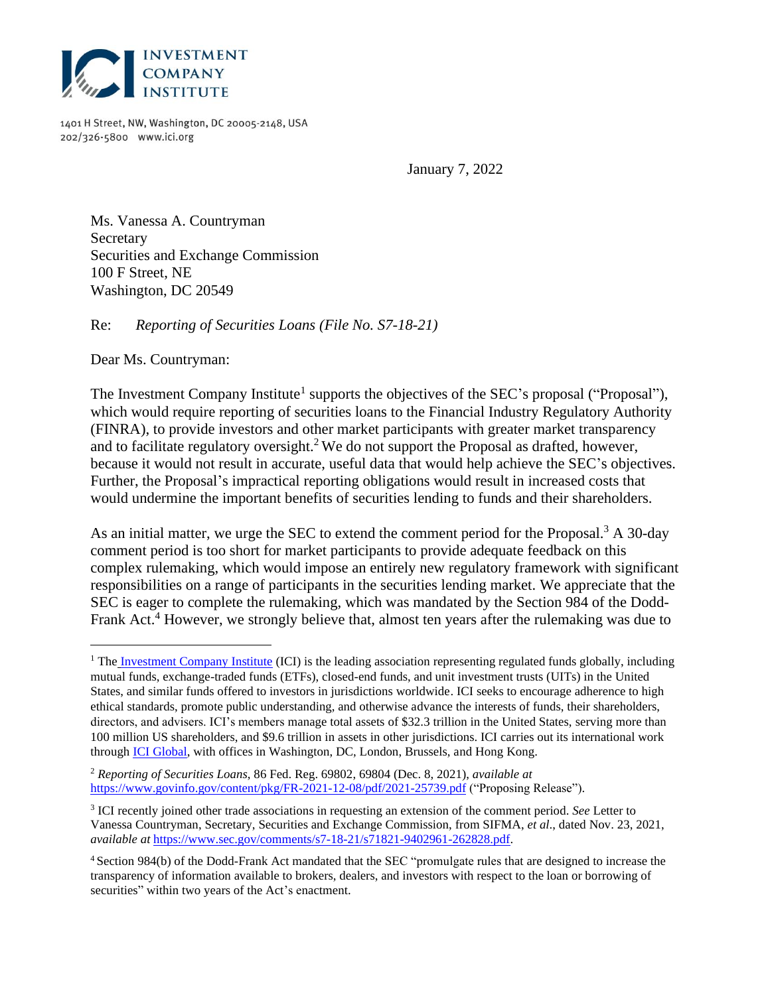

1401 H Street, NW, Washington, DC 20005-2148, USA 202/326-5800 www.ici.org

January 7, 2022

Ms. Vanessa A. Countryman Secretary Securities and Exchange Commission 100 F Street, NE Washington, DC 20549

Re: *Reporting of Securities Loans (File No. S7-18-21)*

Dear Ms. Countryman:

The Investment Company Institute<sup>1</sup> supports the objectives of the SEC's proposal ("Proposal"), which would require reporting of securities loans to the Financial Industry Regulatory Authority (FINRA), to provide investors and other market participants with greater market transparency and to facilitate regulatory oversight.<sup>2</sup> We do not support the Proposal as drafted, however, because it would not result in accurate, useful data that would help achieve the SEC's objectives. Further, the Proposal's impractical reporting obligations would result in increased costs that would undermine the important benefits of securities lending to funds and their shareholders.

As an initial matter, we urge the SEC to extend the comment period for the Proposal.<sup>3</sup> A 30-day comment period is too short for market participants to provide adequate feedback on this complex rulemaking, which would impose an entirely new regulatory framework with significant responsibilities on a range of participants in the securities lending market. We appreciate that the SEC is eager to complete the rulemaking, which was mandated by the Section 984 of the Dodd-Frank Act.<sup>4</sup> However, we strongly believe that, almost ten years after the rulemaking was due to

<sup>&</sup>lt;sup>1</sup> The Investment Company Institute (ICI) is the leading association representing regulated funds globally, including mutual funds, exchange-traded funds (ETFs), closed-end funds, and unit investment trusts (UITs) in the United States, and similar funds offered to investors in jurisdictions worldwide. ICI seeks to encourage adherence to high ethical standards, promote public understanding, and otherwise advance the interests of funds, their shareholders, directors, and advisers. ICI's members manage total assets of \$32.3 trillion in the United States, serving more than 100 million US shareholders, and \$9.6 trillion in assets in other jurisdictions. ICI carries out its international work through ICI Global, with offices in Washington, DC, London, Brussels, and Hong Kong.

<sup>2</sup> *Reporting of Securities Loans*, 86 Fed. Reg. 69802, 69804 (Dec. 8, 2021), *available at* https://www.govinfo.gov/content/pkg/FR-2021-12-08/pdf/2021-25739.pdf ("Proposing Release").

<sup>3</sup> ICI recently joined other trade associations in requesting an extension of the comment period. *See* Letter to Vanessa Countryman, Secretary, Securities and Exchange Commission, from SIFMA, *et al*., dated Nov. 23, 2021, *available at* https://www.sec.gov/comments/s7-18-21/s71821-9402961-262828.pdf.

<sup>4</sup> Section 984(b) of the Dodd-Frank Act mandated that the SEC "promulgate rules that are designed to increase the transparency of information available to brokers, dealers, and investors with respect to the loan or borrowing of securities" within two years of the Act's enactment.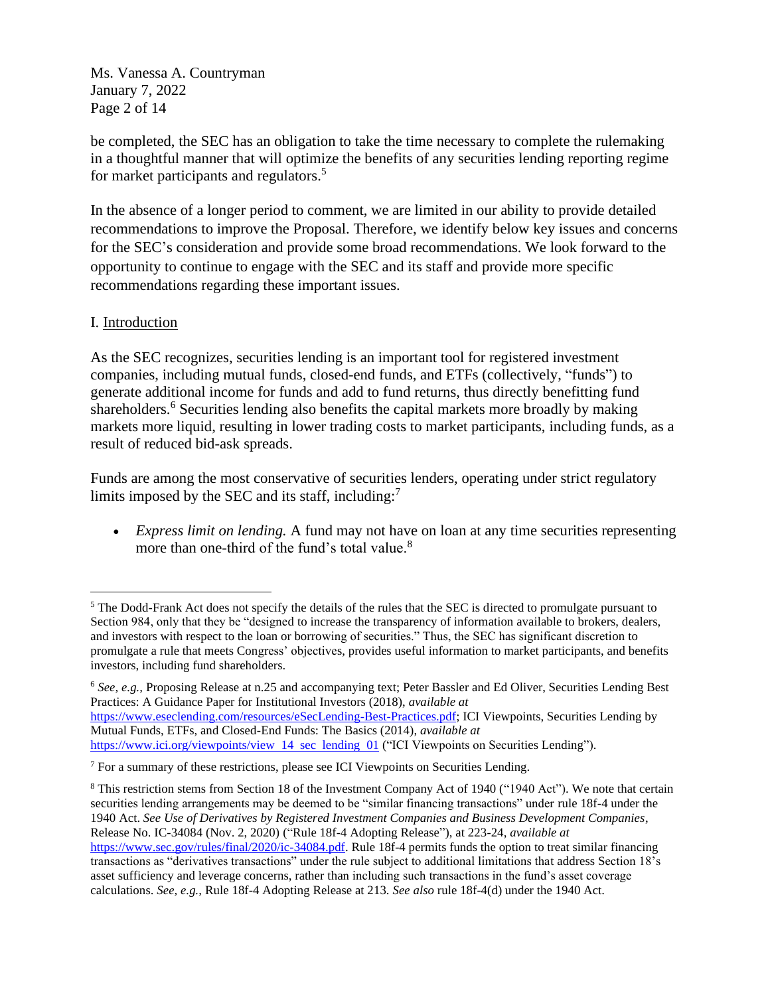Ms. Vanessa A. Countryman January 7, 2022 Page 2 of 14

be completed, the SEC has an obligation to take the time necessary to complete the rulemaking in a thoughtful manner that will optimize the benefits of any securities lending reporting regime for market participants and regulators. 5

In the absence of a longer period to comment, we are limited in our ability to provide detailed recommendations to improve the Proposal. Therefore, we identify below key issues and concerns for the SEC's consideration and provide some broad recommendations. We look forward to the opportunity to continue to engage with the SEC and its staff and provide more specific recommendations regarding these important issues.

## I. Introduction

As the SEC recognizes, securities lending is an important tool for registered investment companies, including mutual funds, closed-end funds, and ETFs (collectively, "funds") to generate additional income for funds and add to fund returns, thus directly benefitting fund shareholders.<sup>6</sup> Securities lending also benefits the capital markets more broadly by making markets more liquid, resulting in lower trading costs to market participants, including funds, as a result of reduced bid-ask spreads.

Funds are among the most conservative of securities lenders, operating under strict regulatory limits imposed by the SEC and its staff, including:<sup>7</sup>

• *Express limit on lending.* A fund may not have on loan at any time securities representing more than one-third of the fund's total value.<sup>8</sup>

<sup>&</sup>lt;sup>5</sup> The Dodd-Frank Act does not specify the details of the rules that the SEC is directed to promulgate pursuant to Section 984, only that they be "designed to increase the transparency of information available to brokers, dealers, and investors with respect to the loan or borrowing of securities." Thus, the SEC has significant discretion to promulgate a rule that meets Congress' objectives, provides useful information to market participants, and benefits investors, including fund shareholders.

<sup>6</sup> *See, e.g.,* Proposing Release at n.25 and accompanying text; Peter Bassler and Ed Oliver, Securities Lending Best Practices: A Guidance Paper for Institutional Investors (2018), *available at*  https://www.eseclending.com/resources/eSecLending-Best-Practices.pdf; ICI Viewpoints, Securities Lending by Mutual Funds, ETFs, and Closed-End Funds: The Basics (2014), *available at*  https://www.ici.org/viewpoints/view 14 sec lending 01 ("ICI Viewpoints on Securities Lending").

<sup>7</sup> For a summary of these restrictions, please see ICI Viewpoints on Securities Lending.

<sup>&</sup>lt;sup>8</sup> This restriction stems from Section 18 of the Investment Company Act of 1940 ("1940 Act"). We note that certain securities lending arrangements may be deemed to be "similar financing transactions" under rule 18f-4 under the 1940 Act. *See Use of Derivatives by Registered Investment Companies and Business Development Companies*, Release No. IC-34084 (Nov. 2, 2020) ("Rule 18f-4 Adopting Release"), at 223-24, *available at* https://www.sec.gov/rules/final/2020/ic-34084.pdf. Rule 18f-4 permits funds the option to treat similar financing transactions as "derivatives transactions" under the rule subject to additional limitations that address Section 18's asset sufficiency and leverage concerns, rather than including such transactions in the fund's asset coverage calculations. *See, e.g.,* Rule 18f-4 Adopting Release at 213. *See also* rule 18f-4(d) under the 1940 Act.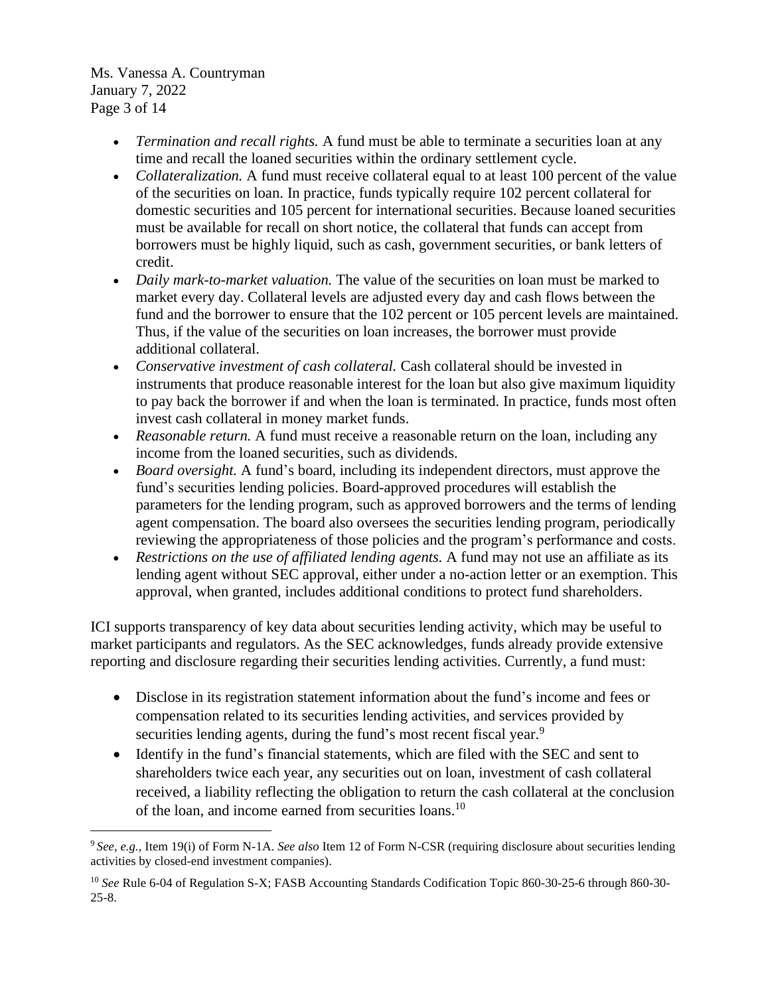Ms. Vanessa A. Countryman January 7, 2022 Page 3 of 14

- *Termination and recall rights.* A fund must be able to terminate a securities loan at any time and recall the loaned securities within the ordinary settlement cycle.
- *Collateralization.* A fund must receive collateral equal to at least 100 percent of the value of the securities on loan. In practice, funds typically require 102 percent collateral for domestic securities and 105 percent for international securities. Because loaned securities must be available for recall on short notice, the collateral that funds can accept from borrowers must be highly liquid, such as cash, government securities, or bank letters of credit.
- *Daily mark-to-market valuation*. The value of the securities on loan must be marked to market every day. Collateral levels are adjusted every day and cash flows between the fund and the borrower to ensure that the 102 percent or 105 percent levels are maintained. Thus, if the value of the securities on loan increases, the borrower must provide additional collateral.
- *Conservative investment of cash collateral.* Cash collateral should be invested in instruments that produce reasonable interest for the loan but also give maximum liquidity to pay back the borrower if and when the loan is terminated. In practice, funds most often invest cash collateral in money market funds.
- *Reasonable return.* A fund must receive a reasonable return on the loan, including any income from the loaned securities, such as dividends.
- *Board oversight.* A fund's board, including its independent directors, must approve the fund's securities lending policies. Board-approved procedures will establish the parameters for the lending program, such as approved borrowers and the terms of lending agent compensation. The board also oversees the securities lending program, periodically reviewing the appropriateness of those policies and the program's performance and costs.
- *Restrictions on the use of affiliated lending agents.* A fund may not use an affiliate as its lending agent without SEC approval, either under a no-action letter or an exemption. This approval, when granted, includes additional conditions to protect fund shareholders.

ICI supports transparency of key data about securities lending activity, which may be useful to market participants and regulators. As the SEC acknowledges, funds already provide extensive reporting and disclosure regarding their securities lending activities. Currently, a fund must:

- Disclose in its registration statement information about the fund's income and fees or compensation related to its securities lending activities, and services provided by securities lending agents, during the fund's most recent fiscal year.<sup>9</sup>
- Identify in the fund's financial statements, which are filed with the SEC and sent to shareholders twice each year, any securities out on loan, investment of cash collateral received, a liability reflecting the obligation to return the cash collateral at the conclusion of the loan, and income earned from securities loans.<sup>10</sup>

<sup>9</sup> *See, e.g.,* Item 19(i) of Form N-1A. *See also* Item 12 of Form N-CSR (requiring disclosure about securities lending activities by closed-end investment companies).

<sup>10</sup> *See* Rule 6-04 of Regulation S-X; FASB Accounting Standards Codification Topic 860-30-25-6 through 860-30- 25-8.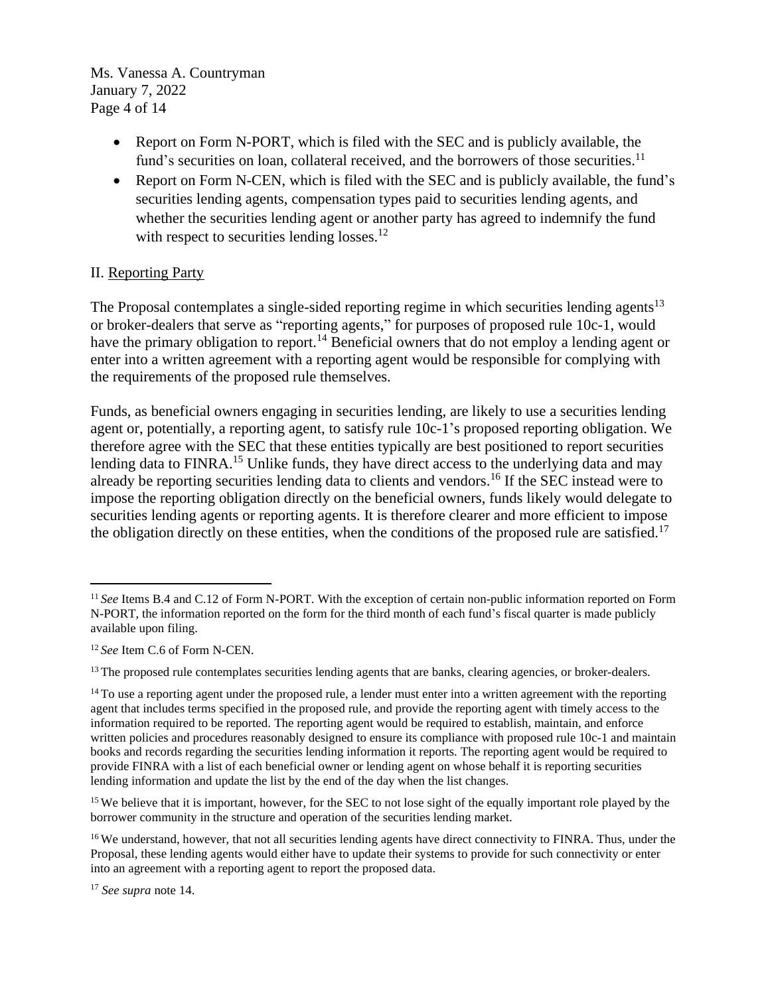Ms. Vanessa A. Countryman January 7, 2022 Page 4 of 14

- Report on Form N-PORT, which is filed with the SEC and is publicly available, the fund's securities on loan, collateral received, and the borrowers of those securities.<sup>11</sup>
- Report on Form N-CEN, which is filed with the SEC and is publicly available, the fund's securities lending agents, compensation types paid to securities lending agents, and whether the securities lending agent or another party has agreed to indemnify the fund with respect to securities lending losses.<sup>12</sup>

## II. Reporting Party

The Proposal contemplates a single-sided reporting regime in which securities lending agents<sup>13</sup> or broker-dealers that serve as "reporting agents," for purposes of proposed rule 10c-1, would have the primary obligation to report.<sup>14</sup> Beneficial owners that do not employ a lending agent or enter into a written agreement with a reporting agent would be responsible for complying with the requirements of the proposed rule themselves.

Funds, as beneficial owners engaging in securities lending, are likely to use a securities lending agent or, potentially, a reporting agent, to satisfy rule 10c-1's proposed reporting obligation. We therefore agree with the SEC that these entities typically are best positioned to report securities lending data to FINRA.<sup>15</sup> Unlike funds, they have direct access to the underlying data and may already be reporting securities lending data to clients and vendors. <sup>16</sup> If the SEC instead were to impose the reporting obligation directly on the beneficial owners, funds likely would delegate to securities lending agents or reporting agents. It is therefore clearer and more efficient to impose the obligation directly on these entities, when the conditions of the proposed rule are satisfied.<sup>17</sup>

<sup>&</sup>lt;sup>11</sup> See Items B.4 and C.12 of Form N-PORT. With the exception of certain non-public information reported on Form N-PORT, the information reported on the form for the third month of each fund's fiscal quarter is made publicly available upon filing.

<sup>12</sup> *See* Item C.6 of Form N-CEN.

<sup>&</sup>lt;sup>13</sup> The proposed rule contemplates securities lending agents that are banks, clearing agencies, or broker-dealers.

 $14$  To use a reporting agent under the proposed rule, a lender must enter into a written agreement with the reporting agent that includes terms specified in the proposed rule, and provide the reporting agent with timely access to the information required to be reported. The reporting agent would be required to establish, maintain, and enforce written policies and procedures reasonably designed to ensure its compliance with proposed rule 10c-1 and maintain books and records regarding the securities lending information it reports. The reporting agent would be required to provide FINRA with a list of each beneficial owner or lending agent on whose behalf it is reporting securities lending information and update the list by the end of the day when the list changes.

<sup>&</sup>lt;sup>15</sup> We believe that it is important, however, for the SEC to not lose sight of the equally important role played by the borrower community in the structure and operation of the securities lending market.

<sup>&</sup>lt;sup>16</sup> We understand, however, that not all securities lending agents have direct connectivity to FINRA. Thus, under the Proposal, these lending agents would either have to update their systems to provide for such connectivity or enter into an agreement with a reporting agent to report the proposed data.

<sup>17</sup> *See supra* note 14.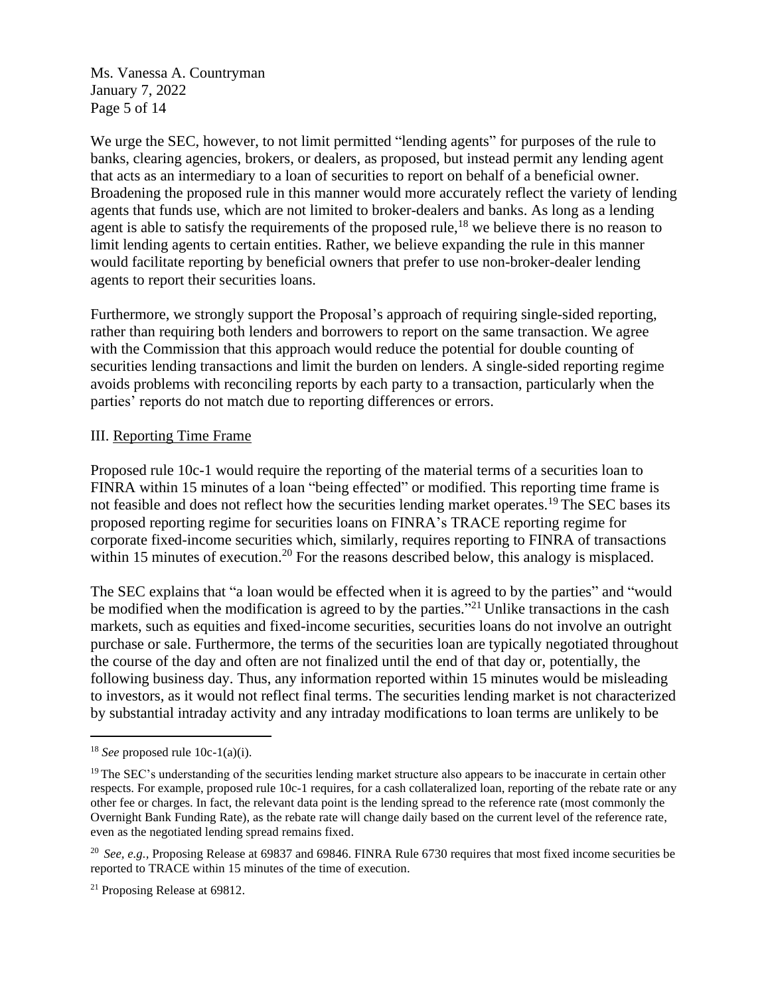Ms. Vanessa A. Countryman January 7, 2022 Page 5 of 14

We urge the SEC, however, to not limit permitted "lending agents" for purposes of the rule to banks, clearing agencies, brokers, or dealers, as proposed, but instead permit any lending agent that acts as an intermediary to a loan of securities to report on behalf of a beneficial owner. Broadening the proposed rule in this manner would more accurately reflect the variety of lending agents that funds use, which are not limited to broker-dealers and banks. As long as a lending agent is able to satisfy the requirements of the proposed rule,  $^{18}$  we believe there is no reason to limit lending agents to certain entities. Rather, we believe expanding the rule in this manner would facilitate reporting by beneficial owners that prefer to use non-broker-dealer lending agents to report their securities loans.

Furthermore, we strongly support the Proposal's approach of requiring single-sided reporting, rather than requiring both lenders and borrowers to report on the same transaction. We agree with the Commission that this approach would reduce the potential for double counting of securities lending transactions and limit the burden on lenders. A single-sided reporting regime avoids problems with reconciling reports by each party to a transaction, particularly when the parties' reports do not match due to reporting differences or errors.

### III. Reporting Time Frame

Proposed rule 10c-1 would require the reporting of the material terms of a securities loan to FINRA within 15 minutes of a loan "being effected" or modified. This reporting time frame is not feasible and does not reflect how the securities lending market operates.<sup>19</sup> The SEC bases its proposed reporting regime for securities loans on FINRA's TRACE reporting regime for corporate fixed-income securities which, similarly, requires reporting to FINRA of transactions within 15 minutes of execution.<sup>20</sup> For the reasons described below, this analogy is misplaced.

The SEC explains that "a loan would be effected when it is agreed to by the parties" and "would be modified when the modification is agreed to by the parties."<sup>21</sup> Unlike transactions in the cash markets, such as equities and fixed-income securities, securities loans do not involve an outright purchase or sale. Furthermore, the terms of the securities loan are typically negotiated throughout the course of the day and often are not finalized until the end of that day or, potentially, the following business day. Thus, any information reported within 15 minutes would be misleading to investors, as it would not reflect final terms. The securities lending market is not characterized by substantial intraday activity and any intraday modifications to loan terms are unlikely to be

<sup>&</sup>lt;sup>18</sup> *See* proposed rule 10c-1(a)(i).

<sup>&</sup>lt;sup>19</sup> The SEC's understanding of the securities lending market structure also appears to be inaccurate in certain other respects. For example, proposed rule 10c-1 requires, for a cash collateralized loan, reporting of the rebate rate or any other fee or charges. In fact, the relevant data point is the lending spread to the reference rate (most commonly the Overnight Bank Funding Rate), as the rebate rate will change daily based on the current level of the reference rate, even as the negotiated lending spread remains fixed.

<sup>&</sup>lt;sup>20</sup> *See, e.g., Proposing Release at 69837 and 69846. FINRA Rule 6730 requires that most fixed income securities be* reported to TRACE within 15 minutes of the time of execution.

<sup>21</sup> Proposing Release at 69812.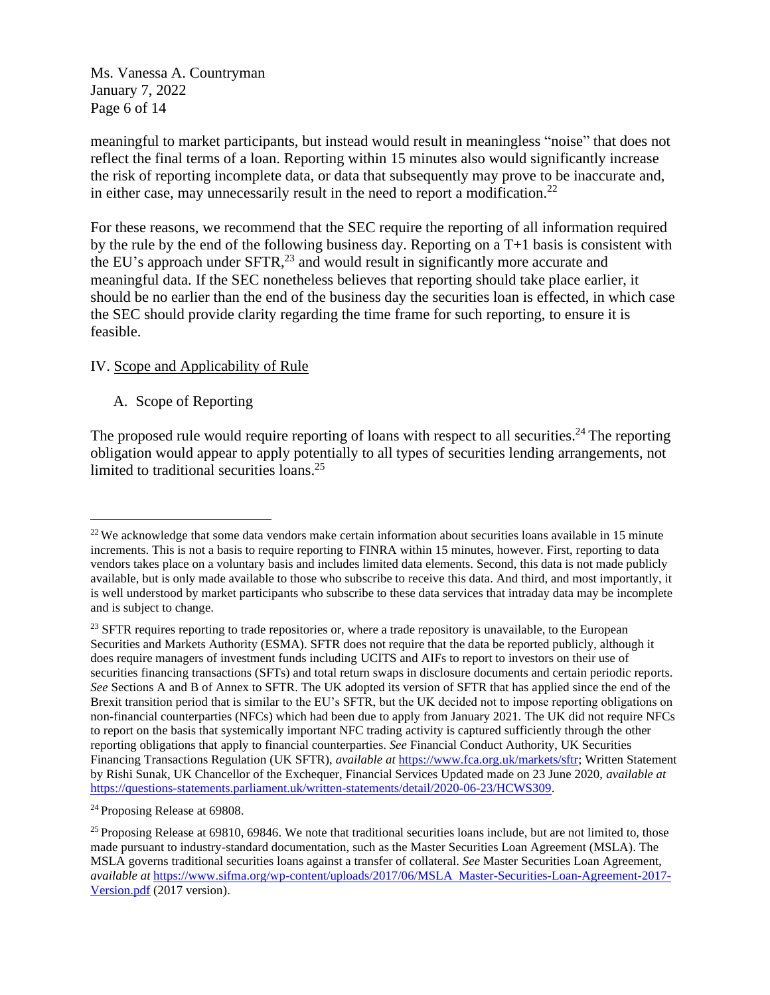Ms. Vanessa A. Countryman January 7, 2022 Page 6 of 14

meaningful to market participants, but instead would result in meaningless "noise" that does not reflect the final terms of a loan. Reporting within 15 minutes also would significantly increase the risk of reporting incomplete data, or data that subsequently may prove to be inaccurate and, in either case, may unnecessarily result in the need to report a modification.<sup>22</sup>

For these reasons, we recommend that the SEC require the reporting of all information required by the rule by the end of the following business day. Reporting on a T+1 basis is consistent with the EU's approach under SFTR,<sup>23</sup> and would result in significantly more accurate and meaningful data. If the SEC nonetheless believes that reporting should take place earlier, it should be no earlier than the end of the business day the securities loan is effected, in which case the SEC should provide clarity regarding the time frame for such reporting, to ensure it is feasible.

## IV. Scope and Applicability of Rule

## A. Scope of Reporting

The proposed rule would require reporting of loans with respect to all securities.<sup>24</sup> The reporting obligation would appear to apply potentially to all types of securities lending arrangements, not limited to traditional securities loans. 25

<sup>24</sup> Proposing Release at 69808.

 $22$  We acknowledge that some data vendors make certain information about securities loans available in 15 minute increments. This is not a basis to require reporting to FINRA within 15 minutes, however. First, reporting to data vendors takes place on a voluntary basis and includes limited data elements. Second, this data is not made publicly available, but is only made available to those who subscribe to receive this data. And third, and most importantly, it is well understood by market participants who subscribe to these data services that intraday data may be incomplete and is subject to change.

<sup>&</sup>lt;sup>23</sup> SFTR requires reporting to trade repositories or, where a trade repository is unavailable, to the European Securities and Markets Authority (ESMA). SFTR does not require that the data be reported publicly, although it does require managers of investment funds including UCITS and AIFs to report to investors on their use of securities financing transactions (SFTs) and total return swaps in disclosure documents and certain periodic reports. *See* Sections A and B of Annex to SFTR. The UK adopted its version of SFTR that has applied since the end of the Brexit transition period that is similar to the EU's SFTR, but the UK decided not to impose reporting obligations on non-financial counterparties (NFCs) which had been due to apply from January 2021. The UK did not require NFCs to report on the basis that systemically important NFC trading activity is captured sufficiently through the other reporting obligations that apply to financial counterparties. *See* Financial Conduct Authority, UK Securities Financing Transactions Regulation (UK SFTR), *available at* https://www.fca.org.uk/markets/sftr; Written Statement by Rishi Sunak, UK Chancellor of the Exchequer, Financial Services Updated made on 23 June 2020, *available at* https://questions-statements.parliament.uk/written-statements/detail/2020-06-23/HCWS309.

<sup>&</sup>lt;sup>25</sup> Proposing Release at 69810, 69846. We note that traditional securities loans include, but are not limited to, those made pursuant to industry-standard documentation, such as the Master Securities Loan Agreement (MSLA). The MSLA governs traditional securities loans against a transfer of collateral. *See* Master Securities Loan Agreement, *available at* https://www.sifma.org/wp-content/uploads/2017/06/MSLA Master-Securities-Loan-Agreement-2017- Version.pdf (2017 version).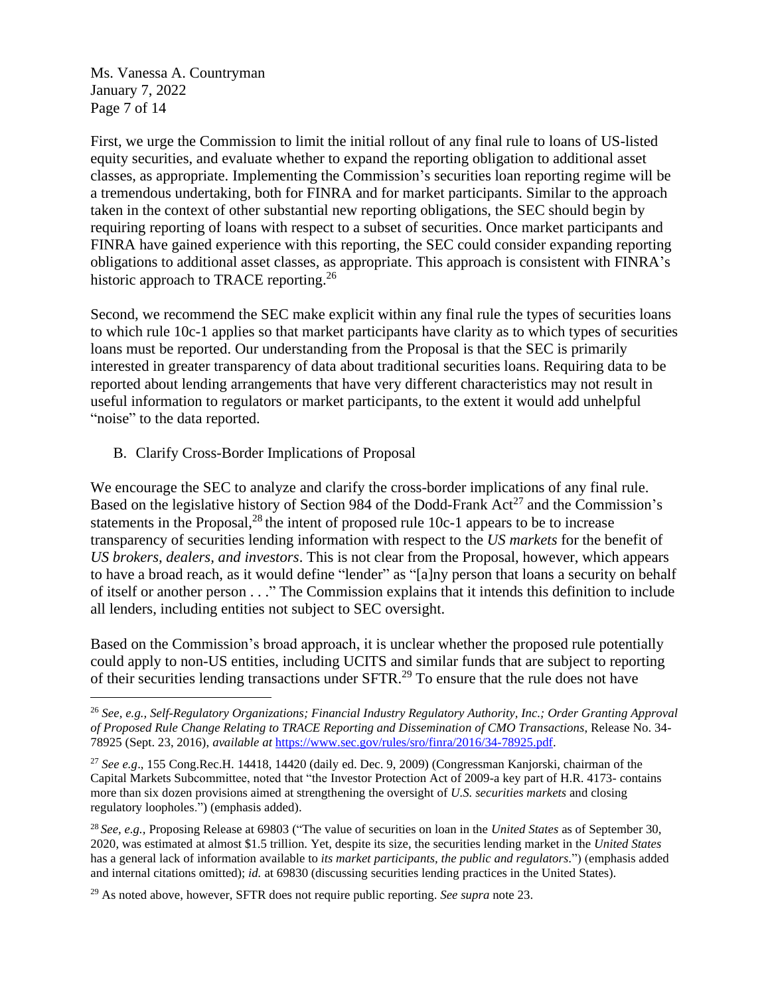Ms. Vanessa A. Countryman January 7, 2022 Page 7 of 14

First, we urge the Commission to limit the initial rollout of any final rule to loans of US-listed equity securities, and evaluate whether to expand the reporting obligation to additional asset classes, as appropriate. Implementing the Commission's securities loan reporting regime will be a tremendous undertaking, both for FINRA and for market participants. Similar to the approach taken in the context of other substantial new reporting obligations, the SEC should begin by requiring reporting of loans with respect to a subset of securities. Once market participants and FINRA have gained experience with this reporting, the SEC could consider expanding reporting obligations to additional asset classes, as appropriate. This approach is consistent with FINRA's historic approach to TRACE reporting.<sup>26</sup>

Second, we recommend the SEC make explicit within any final rule the types of securities loans to which rule 10c-1 applies so that market participants have clarity as to which types of securities loans must be reported. Our understanding from the Proposal is that the SEC is primarily interested in greater transparency of data about traditional securities loans. Requiring data to be reported about lending arrangements that have very different characteristics may not result in useful information to regulators or market participants, to the extent it would add unhelpful "noise" to the data reported.

B. Clarify Cross-Border Implications of Proposal

We encourage the SEC to analyze and clarify the cross-border implications of any final rule. Based on the legislative history of Section 984 of the Dodd-Frank  $Act^{27}$  and the Commission's statements in the Proposal,<sup>28</sup> the intent of proposed rule  $10c-1$  appears to be to increase transparency of securities lending information with respect to the *US markets* for the benefit of *US brokers, dealers, and investors*. This is not clear from the Proposal, however, which appears to have a broad reach, as it would define "lender" as "[a]ny person that loans a security on behalf of itself or another person . . ." The Commission explains that it intends this definition to include all lenders, including entities not subject to SEC oversight.

Based on the Commission's broad approach, it is unclear whether the proposed rule potentially could apply to non-US entities, including UCITS and similar funds that are subject to reporting of their securities lending transactions under SFTR.<sup>29</sup> To ensure that the rule does not have

<sup>26</sup> *See, e.g., Self-Regulatory Organizations; Financial Industry Regulatory Authority, Inc.; Order Granting Approval of Proposed Rule Change Relating to TRACE Reporting and Dissemination of CMO Transactions*, Release No. 34- 78925 (Sept. 23, 2016), *available at* https://www.sec.gov/rules/sro/finra/2016/34-78925.pdf.

<sup>27</sup> *See e.g*., 155 Cong.Rec.H. 14418, 14420 (daily ed. Dec. 9, 2009) (Congressman Kanjorski, chairman of the Capital Markets Subcommittee, noted that "the Investor Protection Act of 2009-a key part of H.R. 4173- contains more than six dozen provisions aimed at strengthening the oversight of *U.S. securities markets* and closing regulatory loopholes.") (emphasis added).

<sup>28</sup> *See, e.g.,* Proposing Release at 69803 ("The value of securities on loan in the *United States* as of September 30, 2020, was estimated at almost \$1.5 trillion. Yet, despite its size, the securities lending market in the *United States* has a general lack of information available to *its market participants, the public and regulators*.") (emphasis added and internal citations omitted); *id.* at 69830 (discussing securities lending practices in the United States).

<sup>29</sup> As noted above, however, SFTR does not require public reporting. *See supra* note 23.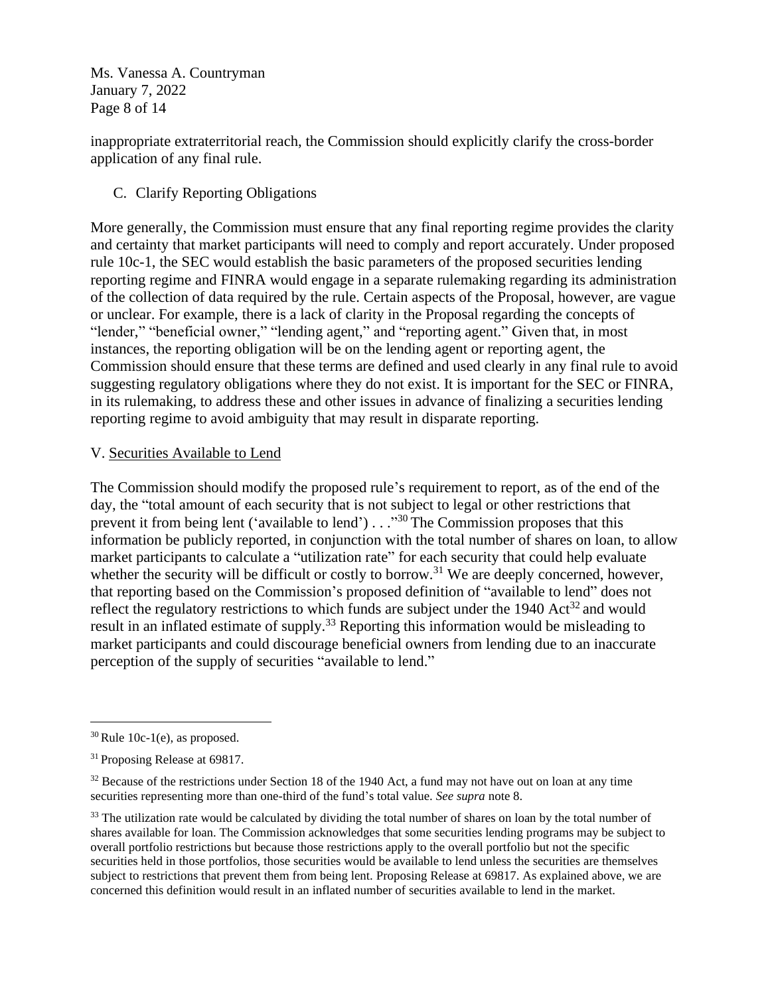Ms. Vanessa A. Countryman January 7, 2022 Page 8 of 14

inappropriate extraterritorial reach, the Commission should explicitly clarify the cross-border application of any final rule.

# C. Clarify Reporting Obligations

More generally, the Commission must ensure that any final reporting regime provides the clarity and certainty that market participants will need to comply and report accurately. Under proposed rule 10c-1, the SEC would establish the basic parameters of the proposed securities lending reporting regime and FINRA would engage in a separate rulemaking regarding its administration of the collection of data required by the rule. Certain aspects of the Proposal, however, are vague or unclear. For example, there is a lack of clarity in the Proposal regarding the concepts of "lender," "beneficial owner," "lending agent," and "reporting agent." Given that, in most instances, the reporting obligation will be on the lending agent or reporting agent, the Commission should ensure that these terms are defined and used clearly in any final rule to avoid suggesting regulatory obligations where they do not exist. It is important for the SEC or FINRA, in its rulemaking, to address these and other issues in advance of finalizing a securities lending reporting regime to avoid ambiguity that may result in disparate reporting.

## V. Securities Available to Lend

The Commission should modify the proposed rule's requirement to report, as of the end of the day, the "total amount of each security that is not subject to legal or other restrictions that prevent it from being lent ('available to lend') . . . "<sup>30</sup> The Commission proposes that this information be publicly reported, in conjunction with the total number of shares on loan, to allow market participants to calculate a "utilization rate" for each security that could help evaluate whether the security will be difficult or costly to borrow.<sup>31</sup> We are deeply concerned, however, that reporting based on the Commission's proposed definition of "available to lend" does not reflect the regulatory restrictions to which funds are subject under the 1940  $Act^{32}$  and would result in an inflated estimate of supply.<sup>33</sup> Reporting this information would be misleading to market participants and could discourage beneficial owners from lending due to an inaccurate perception of the supply of securities "available to lend."

 $30$  Rule 10c-1(e), as proposed.

<sup>&</sup>lt;sup>31</sup> Proposing Release at 69817.

<sup>&</sup>lt;sup>32</sup> Because of the restrictions under Section 18 of the 1940 Act, a fund may not have out on loan at any time securities representing more than one-third of the fund's total value. *See supra* note 8.

<sup>&</sup>lt;sup>33</sup> The utilization rate would be calculated by dividing the total number of shares on loan by the total number of shares available for loan. The Commission acknowledges that some securities lending programs may be subject to overall portfolio restrictions but because those restrictions apply to the overall portfolio but not the specific securities held in those portfolios, those securities would be available to lend unless the securities are themselves subject to restrictions that prevent them from being lent. Proposing Release at 69817. As explained above, we are concerned this definition would result in an inflated number of securities available to lend in the market.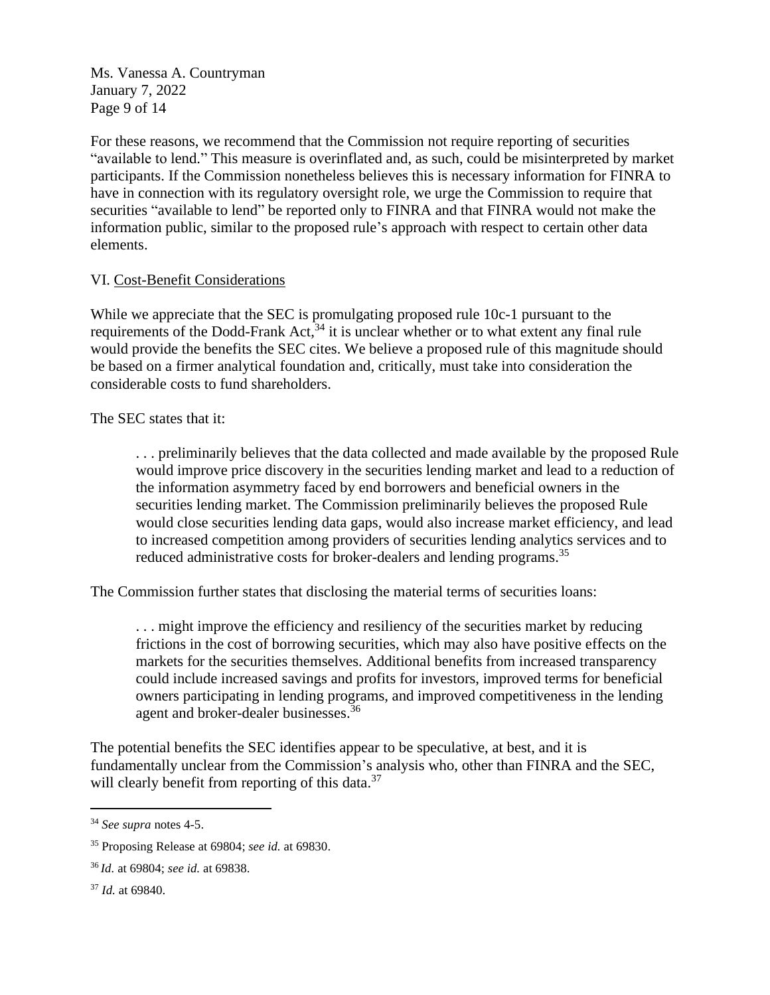Ms. Vanessa A. Countryman January 7, 2022 Page 9 of 14

For these reasons, we recommend that the Commission not require reporting of securities "available to lend." This measure is overinflated and, as such, could be misinterpreted by market participants. If the Commission nonetheless believes this is necessary information for FINRA to have in connection with its regulatory oversight role, we urge the Commission to require that securities "available to lend" be reported only to FINRA and that FINRA would not make the information public, similar to the proposed rule's approach with respect to certain other data elements.

## VI. Cost-Benefit Considerations

While we appreciate that the SEC is promulgating proposed rule 10c-1 pursuant to the requirements of the Dodd-Frank Act,<sup>34</sup> it is unclear whether or to what extent any final rule would provide the benefits the SEC cites. We believe a proposed rule of this magnitude should be based on a firmer analytical foundation and, critically, must take into consideration the considerable costs to fund shareholders.

### The SEC states that it:

. . . preliminarily believes that the data collected and made available by the proposed Rule would improve price discovery in the securities lending market and lead to a reduction of the information asymmetry faced by end borrowers and beneficial owners in the securities lending market. The Commission preliminarily believes the proposed Rule would close securities lending data gaps, would also increase market efficiency, and lead to increased competition among providers of securities lending analytics services and to reduced administrative costs for broker-dealers and lending programs.<sup>35</sup>

The Commission further states that disclosing the material terms of securities loans:

. . . might improve the efficiency and resiliency of the securities market by reducing frictions in the cost of borrowing securities, which may also have positive effects on the markets for the securities themselves. Additional benefits from increased transparency could include increased savings and profits for investors, improved terms for beneficial owners participating in lending programs, and improved competitiveness in the lending agent and broker-dealer businesses.<sup>36</sup>

The potential benefits the SEC identifies appear to be speculative, at best, and it is fundamentally unclear from the Commission's analysis who, other than FINRA and the SEC, will clearly benefit from reporting of this data.<sup>37</sup>

<sup>34</sup> *See supra* notes 4-5.

<sup>35</sup> Proposing Release at 69804; *see id.* at 69830.

<sup>36</sup> *Id.* at 69804; *see id.* at 69838.

<sup>37</sup> *Id.* at 69840.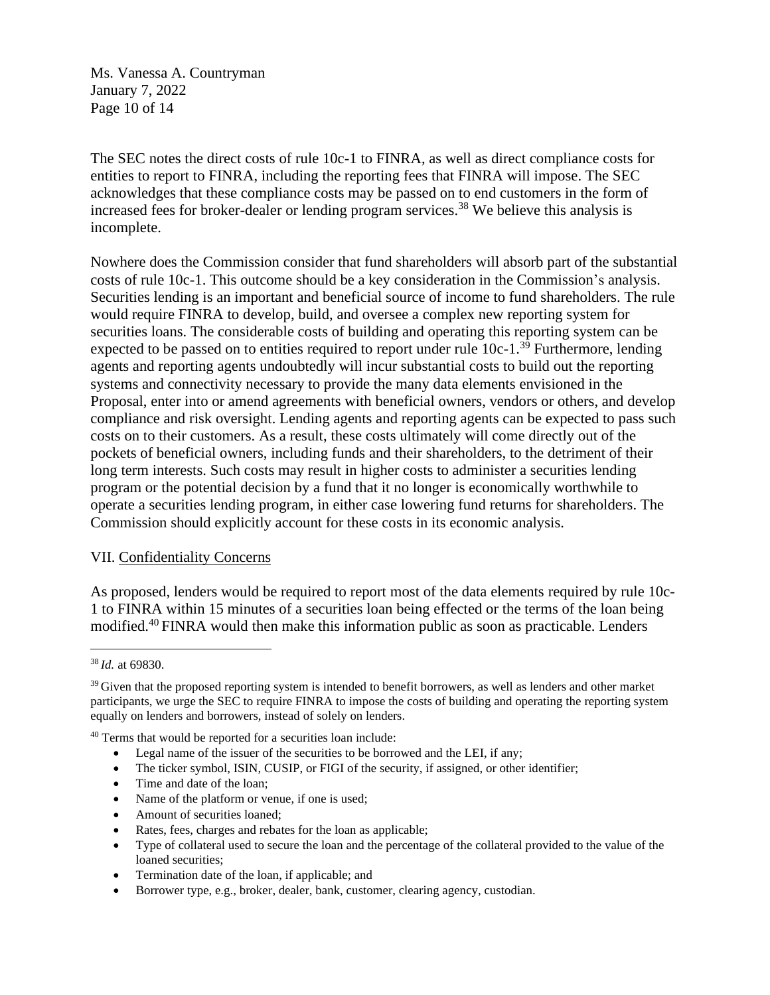Ms. Vanessa A. Countryman January 7, 2022 Page 10 of 14

The SEC notes the direct costs of rule 10c-1 to FINRA, as well as direct compliance costs for entities to report to FINRA, including the reporting fees that FINRA will impose. The SEC acknowledges that these compliance costs may be passed on to end customers in the form of increased fees for broker-dealer or lending program services. <sup>38</sup> We believe this analysis is incomplete.

Nowhere does the Commission consider that fund shareholders will absorb part of the substantial costs of rule 10c-1. This outcome should be a key consideration in the Commission's analysis. Securities lending is an important and beneficial source of income to fund shareholders. The rule would require FINRA to develop, build, and oversee a complex new reporting system for securities loans. The considerable costs of building and operating this reporting system can be expected to be passed on to entities required to report under rule  $10c-1$ <sup>39</sup> Furthermore, lending agents and reporting agents undoubtedly will incur substantial costs to build out the reporting systems and connectivity necessary to provide the many data elements envisioned in the Proposal, enter into or amend agreements with beneficial owners, vendors or others, and develop compliance and risk oversight. Lending agents and reporting agents can be expected to pass such costs on to their customers. As a result, these costs ultimately will come directly out of the pockets of beneficial owners, including funds and their shareholders, to the detriment of their long term interests. Such costs may result in higher costs to administer a securities lending program or the potential decision by a fund that it no longer is economically worthwhile to operate a securities lending program, in either case lowering fund returns for shareholders. The Commission should explicitly account for these costs in its economic analysis.

### VII. Confidentiality Concerns

As proposed, lenders would be required to report most of the data elements required by rule 10c-1 to FINRA within 15 minutes of a securities loan being effected or the terms of the loan being modified. <sup>40</sup> FINRA would then make this information public as soon as practicable. Lenders

<sup>40</sup> Terms that would be reported for a securities loan include:

- Legal name of the issuer of the securities to be borrowed and the LEI, if any;
- The ticker symbol, ISIN, CUSIP, or FIGI of the security, if assigned, or other identifier;
- Time and date of the loan:
- Name of the platform or venue, if one is used;
- Amount of securities loaned;
- Rates, fees, charges and rebates for the loan as applicable;
- Type of collateral used to secure the loan and the percentage of the collateral provided to the value of the loaned securities;
- Termination date of the loan, if applicable; and
- Borrower type, e.g., broker, dealer, bank, customer, clearing agency, custodian.

<sup>38</sup> *Id.* at 69830.

<sup>&</sup>lt;sup>39</sup> Given that the proposed reporting system is intended to benefit borrowers, as well as lenders and other market participants, we urge the SEC to require FINRA to impose the costs of building and operating the reporting system equally on lenders and borrowers, instead of solely on lenders.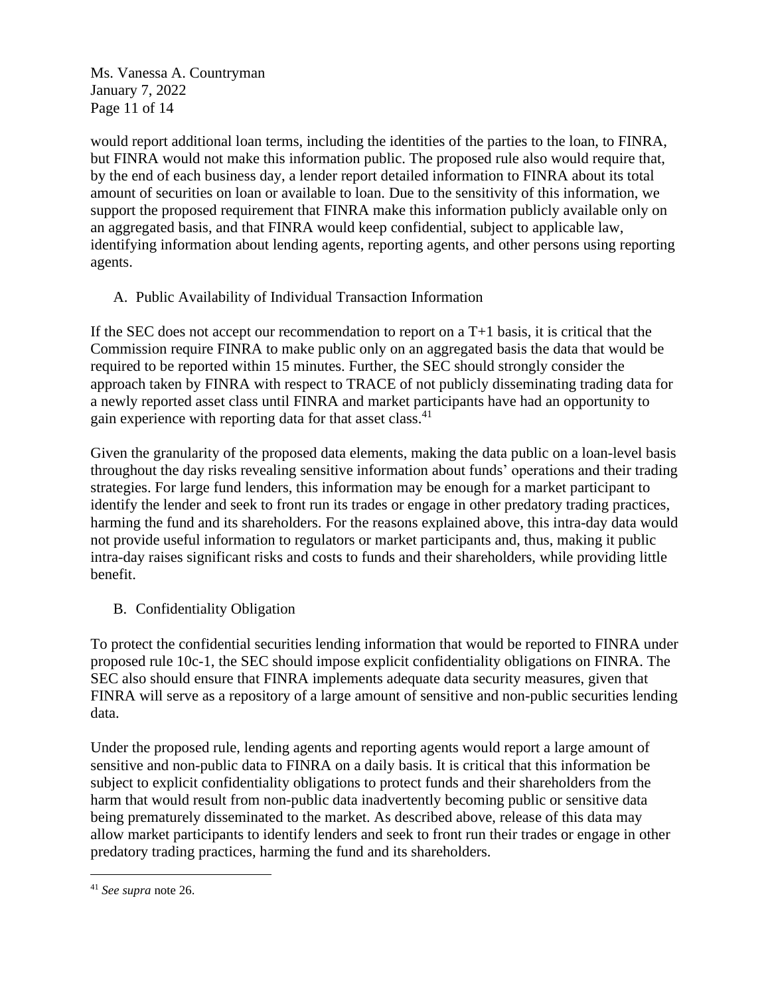Ms. Vanessa A. Countryman January 7, 2022 Page 11 of 14

would report additional loan terms, including the identities of the parties to the loan, to FINRA, but FINRA would not make this information public. The proposed rule also would require that, by the end of each business day, a lender report detailed information to FINRA about its total amount of securities on loan or available to loan. Due to the sensitivity of this information, we support the proposed requirement that FINRA make this information publicly available only on an aggregated basis, and that FINRA would keep confidential, subject to applicable law, identifying information about lending agents, reporting agents, and other persons using reporting agents.

A. Public Availability of Individual Transaction Information

If the SEC does not accept our recommendation to report on a  $T+1$  basis, it is critical that the Commission require FINRA to make public only on an aggregated basis the data that would be required to be reported within 15 minutes. Further, the SEC should strongly consider the approach taken by FINRA with respect to TRACE of not publicly disseminating trading data for a newly reported asset class until FINRA and market participants have had an opportunity to gain experience with reporting data for that asset class.<sup>41</sup>

Given the granularity of the proposed data elements, making the data public on a loan-level basis throughout the day risks revealing sensitive information about funds' operations and their trading strategies. For large fund lenders, this information may be enough for a market participant to identify the lender and seek to front run its trades or engage in other predatory trading practices, harming the fund and its shareholders. For the reasons explained above, this intra-day data would not provide useful information to regulators or market participants and, thus, making it public intra-day raises significant risks and costs to funds and their shareholders, while providing little benefit.

B. Confidentiality Obligation

To protect the confidential securities lending information that would be reported to FINRA under proposed rule 10c-1, the SEC should impose explicit confidentiality obligations on FINRA. The SEC also should ensure that FINRA implements adequate data security measures, given that FINRA will serve as a repository of a large amount of sensitive and non-public securities lending data.

Under the proposed rule, lending agents and reporting agents would report a large amount of sensitive and non-public data to FINRA on a daily basis. It is critical that this information be subject to explicit confidentiality obligations to protect funds and their shareholders from the harm that would result from non-public data inadvertently becoming public or sensitive data being prematurely disseminated to the market. As described above, release of this data may allow market participants to identify lenders and seek to front run their trades or engage in other predatory trading practices, harming the fund and its shareholders.

<sup>41</sup> *See supra* note 26.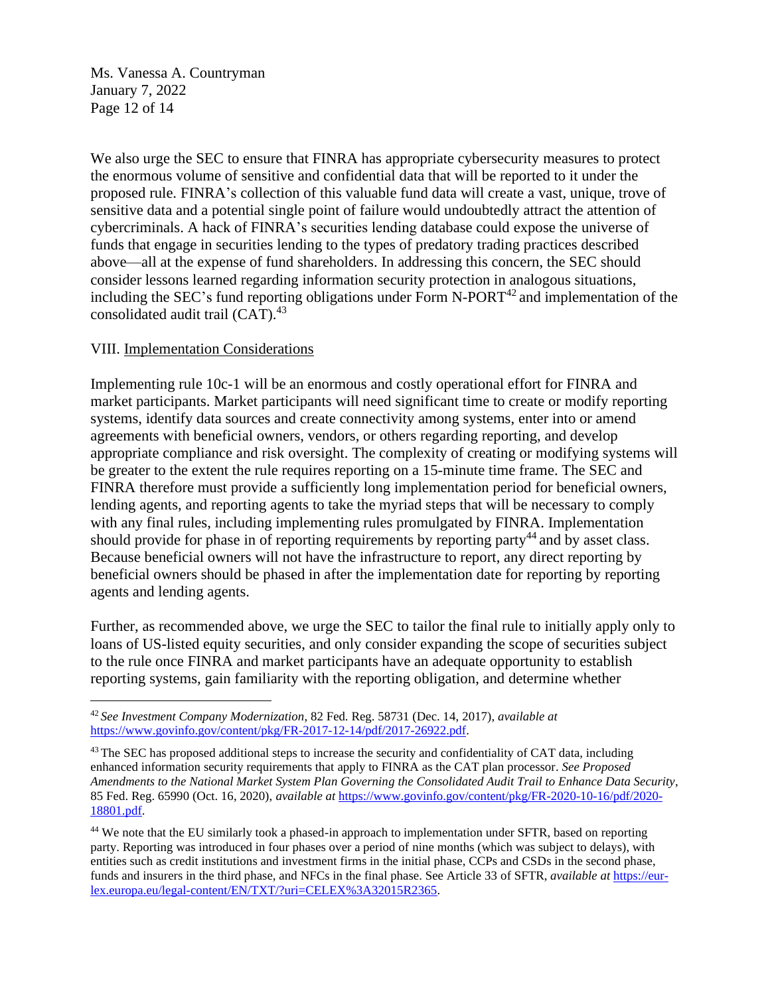Ms. Vanessa A. Countryman January 7, 2022 Page 12 of 14

We also urge the SEC to ensure that FINRA has appropriate cybersecurity measures to protect the enormous volume of sensitive and confidential data that will be reported to it under the proposed rule. FINRA's collection of this valuable fund data will create a vast, unique, trove of sensitive data and a potential single point of failure would undoubtedly attract the attention of cybercriminals. A hack of FINRA's securities lending database could expose the universe of funds that engage in securities lending to the types of predatory trading practices described above—all at the expense of fund shareholders. In addressing this concern, the SEC should consider lessons learned regarding information security protection in analogous situations, including the SEC's fund reporting obligations under Form  $N-PORT<sup>42</sup>$  and implementation of the consolidated audit trail (CAT).<sup>43</sup>

## VIII. Implementation Considerations

Implementing rule 10c-1 will be an enormous and costly operational effort for FINRA and market participants. Market participants will need significant time to create or modify reporting systems, identify data sources and create connectivity among systems, enter into or amend agreements with beneficial owners, vendors, or others regarding reporting, and develop appropriate compliance and risk oversight. The complexity of creating or modifying systems will be greater to the extent the rule requires reporting on a 15-minute time frame. The SEC and FINRA therefore must provide a sufficiently long implementation period for beneficial owners, lending agents, and reporting agents to take the myriad steps that will be necessary to comply with any final rules, including implementing rules promulgated by FINRA. Implementation should provide for phase in of reporting requirements by reporting party<sup>44</sup> and by asset class. Because beneficial owners will not have the infrastructure to report, any direct reporting by beneficial owners should be phased in after the implementation date for reporting by reporting agents and lending agents.

Further, as recommended above, we urge the SEC to tailor the final rule to initially apply only to loans of US-listed equity securities, and only consider expanding the scope of securities subject to the rule once FINRA and market participants have an adequate opportunity to establish reporting systems, gain familiarity with the reporting obligation, and determine whether

<sup>42</sup> *See Investment Company Modernization*, 82 Fed. Reg. 58731 (Dec. 14, 2017), *available at*  https://www.govinfo.gov/content/pkg/FR-2017-12-14/pdf/2017-26922.pdf.

<sup>&</sup>lt;sup>43</sup> The SEC has proposed additional steps to increase the security and confidentiality of CAT data, including enhanced information security requirements that apply to FINRA as the CAT plan processor. *See Proposed Amendments to the National Market System Plan Governing the Consolidated Audit Trail to Enhance Data Security*, 85 Fed. Reg. 65990 (Oct. 16, 2020), *available at* https://www.govinfo.gov/content/pkg/FR-2020-10-16/pdf/2020- 18801.pdf.

<sup>&</sup>lt;sup>44</sup> We note that the EU similarly took a phased-in approach to implementation under SFTR, based on reporting party. Reporting was introduced in four phases over a period of nine months (which was subject to delays), with entities such as credit institutions and investment firms in the initial phase, CCPs and CSDs in the second phase, funds and insurers in the third phase, and NFCs in the final phase. See Article 33 of SFTR, *available at* https://eurlex.europa.eu/legal-content/EN/TXT/?uri=CELEX%3A32015R2365.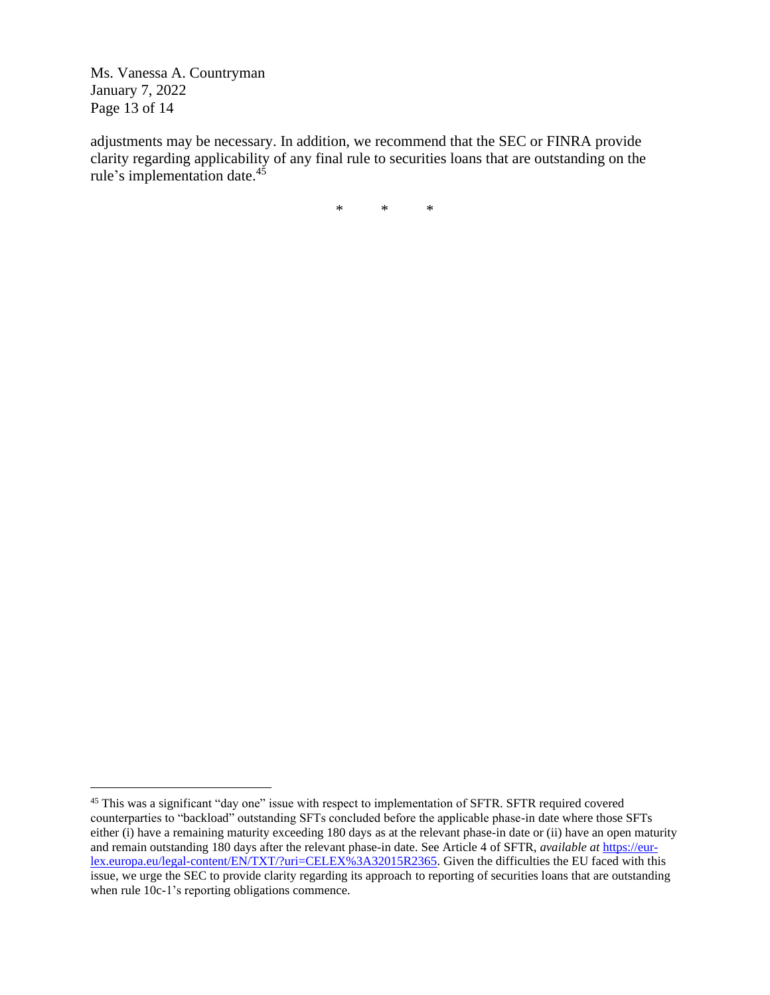Ms. Vanessa A. Countryman January 7, 2022 Page 13 of 14

adjustments may be necessary. In addition, we recommend that the SEC or FINRA provide clarity regarding applicability of any final rule to securities loans that are outstanding on the rule's implementation date.<sup>45</sup>

\* \* \*

<sup>&</sup>lt;sup>45</sup> This was a significant "day one" issue with respect to implementation of SFTR. SFTR required covered counterparties to "backload" outstanding SFTs concluded before the applicable phase-in date where those SFTs either (i) have a remaining maturity exceeding 180 days as at the relevant phase-in date or (ii) have an open maturity and remain outstanding 180 days after the relevant phase-in date. See Article 4 of SFTR, *available at* https://eurlex.europa.eu/legal-content/EN/TXT/?uri=CELEX%3A32015R2365. Given the difficulties the EU faced with this issue, we urge the SEC to provide clarity regarding its approach to reporting of securities loans that are outstanding when rule 10c-1's reporting obligations commence.